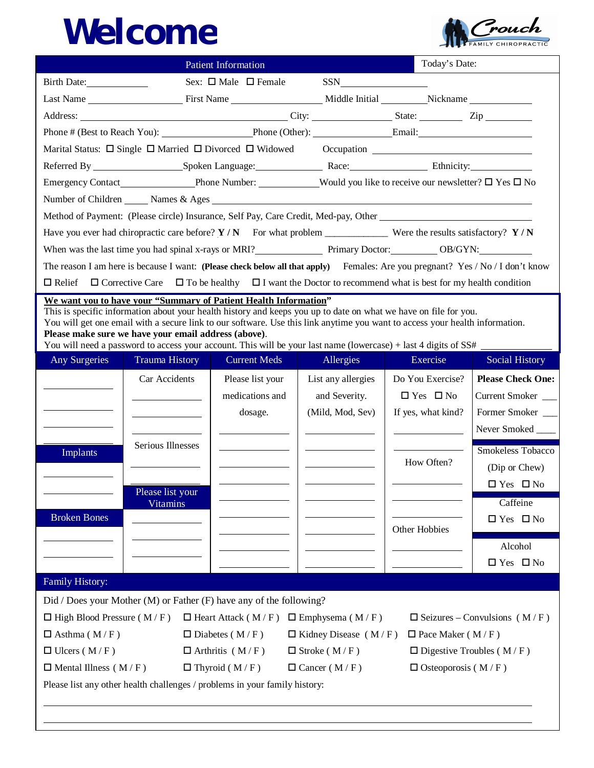## *Welcome*



| <b>Patient Information</b>                                                                                                                                                                                                                       |  |  |  |  |  |  |  |  |
|--------------------------------------------------------------------------------------------------------------------------------------------------------------------------------------------------------------------------------------------------|--|--|--|--|--|--|--|--|
| Sex: $\Box$ Male $\Box$ Female<br>$SSN$<br>Birth Date:                                                                                                                                                                                           |  |  |  |  |  |  |  |  |
|                                                                                                                                                                                                                                                  |  |  |  |  |  |  |  |  |
| Address: <u>City:</u> City: State: Zip                                                                                                                                                                                                           |  |  |  |  |  |  |  |  |
| Phone # (Best to Reach You): Phone (Other): Email: Email:                                                                                                                                                                                        |  |  |  |  |  |  |  |  |
| Marital Status: □ Single □ Married □ Divorced □ Widowed Occupation ________________________________                                                                                                                                              |  |  |  |  |  |  |  |  |
|                                                                                                                                                                                                                                                  |  |  |  |  |  |  |  |  |
|                                                                                                                                                                                                                                                  |  |  |  |  |  |  |  |  |
| Number of Children Names & Ages                                                                                                                                                                                                                  |  |  |  |  |  |  |  |  |
| Method of Payment: (Please circle) Insurance, Self Pay, Care Credit, Med-pay, Other                                                                                                                                                              |  |  |  |  |  |  |  |  |
| Have you ever had chiropractic care before? $Y/N$ For what problem ______________ Were the results satisfactory? $Y/N$                                                                                                                           |  |  |  |  |  |  |  |  |
| When was the last time you had spinal x-rays or MRI? Primary Doctor: 0B/GYN: 0B/GYN:                                                                                                                                                             |  |  |  |  |  |  |  |  |
| The reason I am here is because I want: (Please check below all that apply) Females: Are you pregnant? Yes / No / I don't know                                                                                                                   |  |  |  |  |  |  |  |  |
| $\Box$ Corrective Care $\Box$ To be healthy $\Box$ I want the Doctor to recommend what is best for my health condition<br>$\Box$ Relief                                                                                                          |  |  |  |  |  |  |  |  |
| We want you to have your "Summary of Patient Health Information"                                                                                                                                                                                 |  |  |  |  |  |  |  |  |
| This is specific information about your health history and keeps you up to date on what we have on file for you.<br>You will get one email with a secure link to our software. Use this link anytime you want to access your health information. |  |  |  |  |  |  |  |  |
| Please make sure we have your email address (above).                                                                                                                                                                                             |  |  |  |  |  |  |  |  |
| You will need a password to access your account. This will be your last name (lowercase) + last 4 digits of SS#                                                                                                                                  |  |  |  |  |  |  |  |  |
| Any Surgeries<br><b>Trauma History</b><br>Allergies<br>Exercise<br><b>Current Meds</b><br>Social History                                                                                                                                         |  |  |  |  |  |  |  |  |
| Car Accidents<br>Do You Exercise?<br><b>Please Check One:</b><br>Please list your<br>List any allergies                                                                                                                                          |  |  |  |  |  |  |  |  |
| $\Box$ Yes $\Box$ No<br>medications and<br>and Severity.<br>Current Smoker                                                                                                                                                                       |  |  |  |  |  |  |  |  |
| Former Smoker<br>(Mild, Mod, Sev)<br>If yes, what kind?<br>dosage.                                                                                                                                                                               |  |  |  |  |  |  |  |  |
| Never Smoked _____                                                                                                                                                                                                                               |  |  |  |  |  |  |  |  |
| Serious Illnesses<br>Smokeless Tobacco<br>Implants                                                                                                                                                                                               |  |  |  |  |  |  |  |  |
| How Often?<br>(Dip or Chew)                                                                                                                                                                                                                      |  |  |  |  |  |  |  |  |
| $\Box$ Yes $\Box$ No                                                                                                                                                                                                                             |  |  |  |  |  |  |  |  |
| Please list your<br>Caffeine<br><b>Vitamins</b>                                                                                                                                                                                                  |  |  |  |  |  |  |  |  |
| <b>Broken Bones</b><br>$\Box$ Yes $\Box$ No                                                                                                                                                                                                      |  |  |  |  |  |  |  |  |
| Other Hobbies                                                                                                                                                                                                                                    |  |  |  |  |  |  |  |  |
| Alcohol                                                                                                                                                                                                                                          |  |  |  |  |  |  |  |  |
| $\Box$ Yes $\Box$ No                                                                                                                                                                                                                             |  |  |  |  |  |  |  |  |
| Family History:                                                                                                                                                                                                                                  |  |  |  |  |  |  |  |  |
| Did / Does your Mother (M) or Father (F) have any of the following?                                                                                                                                                                              |  |  |  |  |  |  |  |  |
| $\Box$ High Blood Pressure (M/F)<br>$\Box$ Heart Attack (M/F) $\Box$ Emphysema (M/F)<br>$\Box$ Seizures – Convulsions (M/F)                                                                                                                      |  |  |  |  |  |  |  |  |
| $\Box$ Asthma (M/F)<br>$\Box$ Diabetes (M/F)<br>$\Box$ Kidney Disease (M/F)<br>$\Box$ Pace Maker (M/F)                                                                                                                                           |  |  |  |  |  |  |  |  |
| $\Box$ Ulcers (M/F)<br>$\Box$ Digestive Troubles (M/F)<br>$\Box$ Arthritis (M/F)<br>$\Box$ Stroke (M/F)                                                                                                                                          |  |  |  |  |  |  |  |  |
| $\Box$ Thyroid (M/F)<br>$\Box$ Mental Illness (M/F)<br>$\Box$ Cancer (M/F)<br>$\Box$ Osteoporosis (M/F)                                                                                                                                          |  |  |  |  |  |  |  |  |
| Please list any other health challenges / problems in your family history:                                                                                                                                                                       |  |  |  |  |  |  |  |  |
|                                                                                                                                                                                                                                                  |  |  |  |  |  |  |  |  |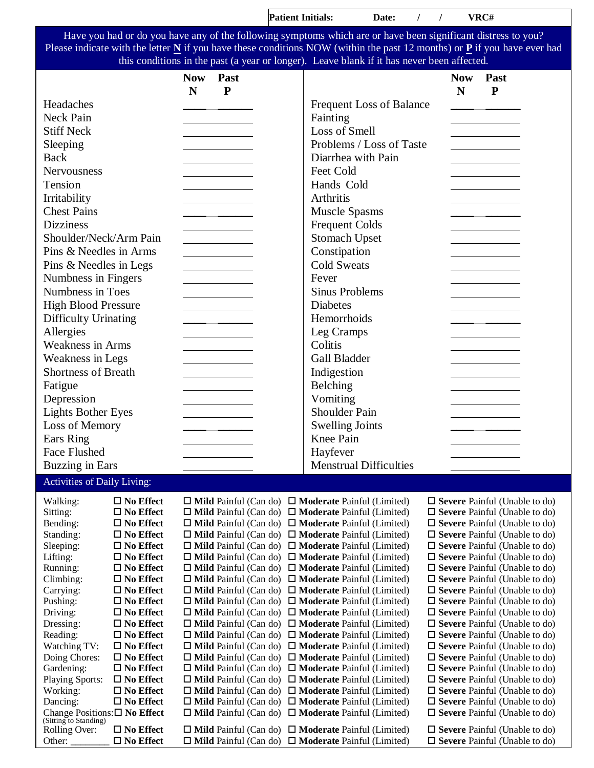| Have you had or do you have any of the following symptoms which are or have been significant distress to you?<br>Please indicate with the letter $\underline{N}$ if you have these conditions NOW (within the past 12 months) or $\underline{P}$ if you have ever had<br>this conditions in the past (a year or longer). Leave blank if it has never been affected.<br>Past<br><b>Now</b><br>Past<br><b>Now</b><br>N<br>${\bf P}$<br>N<br>${\bf P}$<br>Headaches<br><b>Frequent Loss of Balance</b><br><b>Neck Pain</b><br>Fainting<br><b>Stiff Neck</b><br>Loss of Smell<br>Problems / Loss of Taste<br>Sleeping<br>Back<br>Diarrhea with Pain<br>Feet Cold<br>Nervousness<br>Hands Cold<br>Tension<br>Irritability<br>Arthritis<br><b>Chest Pains</b><br><b>Muscle Spasms</b><br><b>Dizziness</b><br><b>Frequent Colds</b><br>Shoulder/Neck/Arm Pain<br><b>Stomach Upset</b><br>Pins & Needles in Arms<br>Constipation<br><b>Cold Sweats</b><br>Pins & Needles in Legs<br>Numbness in Fingers<br>Fever<br>Numbness in Toes<br><b>Sinus Problems</b><br><b>High Blood Pressure</b><br><b>Diabetes</b><br><b>Difficulty Urinating</b><br>Hemorrhoids<br>Allergies<br>Leg Cramps<br><b>Weakness in Arms</b><br>Colitis<br>Weakness in Legs<br><b>Gall Bladder</b><br><b>Shortness of Breath</b><br>Indigestion<br>Belching<br>Fatigue<br>Vomiting<br>Depression<br><b>Shoulder Pain</b><br><b>Lights Bother Eyes</b><br>Loss of Memory<br><b>Swelling Joints</b><br><b>Knee Pain</b><br>Ears Ring<br>Face Flushed<br>Hayfever<br><b>Buzzing in Ears</b><br><b>Menstrual Difficulties</b><br>Activities of Daily Living:<br>$\Box$ No Effect<br>$\Box$ Mild Painful (Can do) $\Box$ Moderate Painful (Limited)<br>$\square$ Severe Painful (Unable to do)<br>Walking:<br>Sitting:<br>$\square$ No Effect<br>$\Box$ Mild Painful (Can do) $\Box$ Moderate Painful (Limited)<br>$\Box$ Severe Painful (Unable to do)<br>Bending:<br>$\square$ No Effect<br>$\Box$ Mild Painful (Can do) $\Box$ Moderate Painful (Limited)<br>$\square$ Severe Painful (Unable to do)<br>Standing:<br>$\square$ No Effect<br>$\Box$ Mild Painful (Can do) $\Box$ Moderate Painful (Limited)<br>$\square$ Severe Painful (Unable to do)<br>Sleeping:<br>$\square$ No Effect<br>$\Box$ Mild Painful (Can do) $\Box$ Moderate Painful (Limited)<br>$\Box$ Severe Painful (Unable to do)<br>Lifting:<br>$\square$ No Effect<br>$\Box$ Mild Painful (Can do) $\Box$ Moderate Painful (Limited)<br>$\square$ Severe Painful (Unable to do)<br>Running:<br>$\square$ No Effect<br>$\Box$ Mild Painful (Can do) $\Box$ Moderate Painful (Limited)<br>$\square$ Severe Painful (Unable to do)<br>$\Box$ Mild Painful (Can do) $\Box$ Moderate Painful (Limited)<br>Climbing:<br>$\square$ No Effect<br>$\Box$ Severe Painful (Unable to do)<br>$\Box$ No Effect<br>$\Box$ Mild Painful (Can do) $\Box$ Moderate Painful (Limited)<br>$\square$ Severe Painful (Unable to do)<br>Carrying:<br>Pushing:<br>$\square$ No Effect<br>$\Box$ Mild Painful (Can do) $\Box$ Moderate Painful (Limited)<br>$\square$ Severe Painful (Unable to do)<br>Driving:<br>$\Box$ No Effect<br>$\Box$ Mild Painful (Can do) $\Box$ Moderate Painful (Limited)<br>$\square$ Severe Painful (Unable to do)<br>$\Box$ No Effect<br>$\Box$ Mild Painful (Can do) $\Box$ Moderate Painful (Limited)<br>$\square$ Severe Painful (Unable to do)<br>Dressing:<br>Reading:<br>$\Box$ No Effect<br>$\Box$ Mild Painful (Can do) $\Box$ Moderate Painful (Limited)<br>$\square$ Severe Painful (Unable to do)<br>Watching TV:<br>$\square$ No Effect<br>$\Box$ Mild Painful (Can do) $\Box$ Moderate Painful (Limited)<br>$\square$ Severe Painful (Unable to do)<br>Doing Chores:<br>$\square$ No Effect<br>$\Box$ Mild Painful (Can do) $\Box$ Moderate Painful (Limited)<br>$\square$ Severe Painful (Unable to do)<br>Gardening:<br>$\Box$ No Effect<br>$\Box$ Mild Painful (Can do) $\Box$ Moderate Painful (Limited)<br>$\square$ Severe Painful (Unable to do)<br><b>Playing Sports:</b><br>$\Box$ No Effect<br>$\Box$ Mild Painful (Can do) $\Box$ Moderate Painful (Limited)<br>$\Box$ Severe Painful (Unable to do)<br>Working:<br>$\square$ No Effect<br>$\Box$ Mild Painful (Can do) $\Box$ Moderate Painful (Limited)<br>$\square$ Severe Painful (Unable to do) |  |  | <b>Patient Initials:</b> | Date: | $\prime$<br>$\prime$ | VRC# |  |
|---------------------------------------------------------------------------------------------------------------------------------------------------------------------------------------------------------------------------------------------------------------------------------------------------------------------------------------------------------------------------------------------------------------------------------------------------------------------------------------------------------------------------------------------------------------------------------------------------------------------------------------------------------------------------------------------------------------------------------------------------------------------------------------------------------------------------------------------------------------------------------------------------------------------------------------------------------------------------------------------------------------------------------------------------------------------------------------------------------------------------------------------------------------------------------------------------------------------------------------------------------------------------------------------------------------------------------------------------------------------------------------------------------------------------------------------------------------------------------------------------------------------------------------------------------------------------------------------------------------------------------------------------------------------------------------------------------------------------------------------------------------------------------------------------------------------------------------------------------------------------------------------------------------------------------------------------------------------------------------------------------------------------------------------------------------------------------------------------------------------------------------------------------------------------------------------------------------------------------------------------------------------------------------------------------------------------------------------------------------------------------------------------------------------------------------------------------------------------------------------------------------------------------------------------------------------------------------------------------------------------------------------------------------------------------------------------------------------------------------------------------------------------------------------------------------------------------------------------------------------------------------------------------------------------------------------------------------------------------------------------------------------------------------------------------------------------------------------------------------------------------------------------------------------------------------------------------------------------------------------------------------------------------------------------------------------------------------------------------------------------------------------------------------------------------------------------------------------------------------------------------------------------------------------------------------------------------------------------------------------------------------------------------------------------------------------------------------------------------------------------------------------------------------------------------------------------------------------------------------------------------------------------------------------------------------------------------------------------------------------------------------------------------------------------------------------------------------------------------------------------------------------------------------------------------------------------------------------------------------------------------------------------------------------------------------------|--|--|--------------------------|-------|----------------------|------|--|
|                                                                                                                                                                                                                                                                                                                                                                                                                                                                                                                                                                                                                                                                                                                                                                                                                                                                                                                                                                                                                                                                                                                                                                                                                                                                                                                                                                                                                                                                                                                                                                                                                                                                                                                                                                                                                                                                                                                                                                                                                                                                                                                                                                                                                                                                                                                                                                                                                                                                                                                                                                                                                                                                                                                                                                                                                                                                                                                                                                                                                                                                                                                                                                                                                                                                                                                                                                                                                                                                                                                                                                                                                                                                                                                                                                                                                                                                                                                                                                                                                                                                                                                                                                                                                                                                                                                     |  |  |                          |       |                      |      |  |
|                                                                                                                                                                                                                                                                                                                                                                                                                                                                                                                                                                                                                                                                                                                                                                                                                                                                                                                                                                                                                                                                                                                                                                                                                                                                                                                                                                                                                                                                                                                                                                                                                                                                                                                                                                                                                                                                                                                                                                                                                                                                                                                                                                                                                                                                                                                                                                                                                                                                                                                                                                                                                                                                                                                                                                                                                                                                                                                                                                                                                                                                                                                                                                                                                                                                                                                                                                                                                                                                                                                                                                                                                                                                                                                                                                                                                                                                                                                                                                                                                                                                                                                                                                                                                                                                                                                     |  |  |                          |       |                      |      |  |
|                                                                                                                                                                                                                                                                                                                                                                                                                                                                                                                                                                                                                                                                                                                                                                                                                                                                                                                                                                                                                                                                                                                                                                                                                                                                                                                                                                                                                                                                                                                                                                                                                                                                                                                                                                                                                                                                                                                                                                                                                                                                                                                                                                                                                                                                                                                                                                                                                                                                                                                                                                                                                                                                                                                                                                                                                                                                                                                                                                                                                                                                                                                                                                                                                                                                                                                                                                                                                                                                                                                                                                                                                                                                                                                                                                                                                                                                                                                                                                                                                                                                                                                                                                                                                                                                                                                     |  |  |                          |       |                      |      |  |
|                                                                                                                                                                                                                                                                                                                                                                                                                                                                                                                                                                                                                                                                                                                                                                                                                                                                                                                                                                                                                                                                                                                                                                                                                                                                                                                                                                                                                                                                                                                                                                                                                                                                                                                                                                                                                                                                                                                                                                                                                                                                                                                                                                                                                                                                                                                                                                                                                                                                                                                                                                                                                                                                                                                                                                                                                                                                                                                                                                                                                                                                                                                                                                                                                                                                                                                                                                                                                                                                                                                                                                                                                                                                                                                                                                                                                                                                                                                                                                                                                                                                                                                                                                                                                                                                                                                     |  |  |                          |       |                      |      |  |
|                                                                                                                                                                                                                                                                                                                                                                                                                                                                                                                                                                                                                                                                                                                                                                                                                                                                                                                                                                                                                                                                                                                                                                                                                                                                                                                                                                                                                                                                                                                                                                                                                                                                                                                                                                                                                                                                                                                                                                                                                                                                                                                                                                                                                                                                                                                                                                                                                                                                                                                                                                                                                                                                                                                                                                                                                                                                                                                                                                                                                                                                                                                                                                                                                                                                                                                                                                                                                                                                                                                                                                                                                                                                                                                                                                                                                                                                                                                                                                                                                                                                                                                                                                                                                                                                                                                     |  |  |                          |       |                      |      |  |
|                                                                                                                                                                                                                                                                                                                                                                                                                                                                                                                                                                                                                                                                                                                                                                                                                                                                                                                                                                                                                                                                                                                                                                                                                                                                                                                                                                                                                                                                                                                                                                                                                                                                                                                                                                                                                                                                                                                                                                                                                                                                                                                                                                                                                                                                                                                                                                                                                                                                                                                                                                                                                                                                                                                                                                                                                                                                                                                                                                                                                                                                                                                                                                                                                                                                                                                                                                                                                                                                                                                                                                                                                                                                                                                                                                                                                                                                                                                                                                                                                                                                                                                                                                                                                                                                                                                     |  |  |                          |       |                      |      |  |
|                                                                                                                                                                                                                                                                                                                                                                                                                                                                                                                                                                                                                                                                                                                                                                                                                                                                                                                                                                                                                                                                                                                                                                                                                                                                                                                                                                                                                                                                                                                                                                                                                                                                                                                                                                                                                                                                                                                                                                                                                                                                                                                                                                                                                                                                                                                                                                                                                                                                                                                                                                                                                                                                                                                                                                                                                                                                                                                                                                                                                                                                                                                                                                                                                                                                                                                                                                                                                                                                                                                                                                                                                                                                                                                                                                                                                                                                                                                                                                                                                                                                                                                                                                                                                                                                                                                     |  |  |                          |       |                      |      |  |
|                                                                                                                                                                                                                                                                                                                                                                                                                                                                                                                                                                                                                                                                                                                                                                                                                                                                                                                                                                                                                                                                                                                                                                                                                                                                                                                                                                                                                                                                                                                                                                                                                                                                                                                                                                                                                                                                                                                                                                                                                                                                                                                                                                                                                                                                                                                                                                                                                                                                                                                                                                                                                                                                                                                                                                                                                                                                                                                                                                                                                                                                                                                                                                                                                                                                                                                                                                                                                                                                                                                                                                                                                                                                                                                                                                                                                                                                                                                                                                                                                                                                                                                                                                                                                                                                                                                     |  |  |                          |       |                      |      |  |
|                                                                                                                                                                                                                                                                                                                                                                                                                                                                                                                                                                                                                                                                                                                                                                                                                                                                                                                                                                                                                                                                                                                                                                                                                                                                                                                                                                                                                                                                                                                                                                                                                                                                                                                                                                                                                                                                                                                                                                                                                                                                                                                                                                                                                                                                                                                                                                                                                                                                                                                                                                                                                                                                                                                                                                                                                                                                                                                                                                                                                                                                                                                                                                                                                                                                                                                                                                                                                                                                                                                                                                                                                                                                                                                                                                                                                                                                                                                                                                                                                                                                                                                                                                                                                                                                                                                     |  |  |                          |       |                      |      |  |
|                                                                                                                                                                                                                                                                                                                                                                                                                                                                                                                                                                                                                                                                                                                                                                                                                                                                                                                                                                                                                                                                                                                                                                                                                                                                                                                                                                                                                                                                                                                                                                                                                                                                                                                                                                                                                                                                                                                                                                                                                                                                                                                                                                                                                                                                                                                                                                                                                                                                                                                                                                                                                                                                                                                                                                                                                                                                                                                                                                                                                                                                                                                                                                                                                                                                                                                                                                                                                                                                                                                                                                                                                                                                                                                                                                                                                                                                                                                                                                                                                                                                                                                                                                                                                                                                                                                     |  |  |                          |       |                      |      |  |
|                                                                                                                                                                                                                                                                                                                                                                                                                                                                                                                                                                                                                                                                                                                                                                                                                                                                                                                                                                                                                                                                                                                                                                                                                                                                                                                                                                                                                                                                                                                                                                                                                                                                                                                                                                                                                                                                                                                                                                                                                                                                                                                                                                                                                                                                                                                                                                                                                                                                                                                                                                                                                                                                                                                                                                                                                                                                                                                                                                                                                                                                                                                                                                                                                                                                                                                                                                                                                                                                                                                                                                                                                                                                                                                                                                                                                                                                                                                                                                                                                                                                                                                                                                                                                                                                                                                     |  |  |                          |       |                      |      |  |
|                                                                                                                                                                                                                                                                                                                                                                                                                                                                                                                                                                                                                                                                                                                                                                                                                                                                                                                                                                                                                                                                                                                                                                                                                                                                                                                                                                                                                                                                                                                                                                                                                                                                                                                                                                                                                                                                                                                                                                                                                                                                                                                                                                                                                                                                                                                                                                                                                                                                                                                                                                                                                                                                                                                                                                                                                                                                                                                                                                                                                                                                                                                                                                                                                                                                                                                                                                                                                                                                                                                                                                                                                                                                                                                                                                                                                                                                                                                                                                                                                                                                                                                                                                                                                                                                                                                     |  |  |                          |       |                      |      |  |
|                                                                                                                                                                                                                                                                                                                                                                                                                                                                                                                                                                                                                                                                                                                                                                                                                                                                                                                                                                                                                                                                                                                                                                                                                                                                                                                                                                                                                                                                                                                                                                                                                                                                                                                                                                                                                                                                                                                                                                                                                                                                                                                                                                                                                                                                                                                                                                                                                                                                                                                                                                                                                                                                                                                                                                                                                                                                                                                                                                                                                                                                                                                                                                                                                                                                                                                                                                                                                                                                                                                                                                                                                                                                                                                                                                                                                                                                                                                                                                                                                                                                                                                                                                                                                                                                                                                     |  |  |                          |       |                      |      |  |
|                                                                                                                                                                                                                                                                                                                                                                                                                                                                                                                                                                                                                                                                                                                                                                                                                                                                                                                                                                                                                                                                                                                                                                                                                                                                                                                                                                                                                                                                                                                                                                                                                                                                                                                                                                                                                                                                                                                                                                                                                                                                                                                                                                                                                                                                                                                                                                                                                                                                                                                                                                                                                                                                                                                                                                                                                                                                                                                                                                                                                                                                                                                                                                                                                                                                                                                                                                                                                                                                                                                                                                                                                                                                                                                                                                                                                                                                                                                                                                                                                                                                                                                                                                                                                                                                                                                     |  |  |                          |       |                      |      |  |
|                                                                                                                                                                                                                                                                                                                                                                                                                                                                                                                                                                                                                                                                                                                                                                                                                                                                                                                                                                                                                                                                                                                                                                                                                                                                                                                                                                                                                                                                                                                                                                                                                                                                                                                                                                                                                                                                                                                                                                                                                                                                                                                                                                                                                                                                                                                                                                                                                                                                                                                                                                                                                                                                                                                                                                                                                                                                                                                                                                                                                                                                                                                                                                                                                                                                                                                                                                                                                                                                                                                                                                                                                                                                                                                                                                                                                                                                                                                                                                                                                                                                                                                                                                                                                                                                                                                     |  |  |                          |       |                      |      |  |
|                                                                                                                                                                                                                                                                                                                                                                                                                                                                                                                                                                                                                                                                                                                                                                                                                                                                                                                                                                                                                                                                                                                                                                                                                                                                                                                                                                                                                                                                                                                                                                                                                                                                                                                                                                                                                                                                                                                                                                                                                                                                                                                                                                                                                                                                                                                                                                                                                                                                                                                                                                                                                                                                                                                                                                                                                                                                                                                                                                                                                                                                                                                                                                                                                                                                                                                                                                                                                                                                                                                                                                                                                                                                                                                                                                                                                                                                                                                                                                                                                                                                                                                                                                                                                                                                                                                     |  |  |                          |       |                      |      |  |
|                                                                                                                                                                                                                                                                                                                                                                                                                                                                                                                                                                                                                                                                                                                                                                                                                                                                                                                                                                                                                                                                                                                                                                                                                                                                                                                                                                                                                                                                                                                                                                                                                                                                                                                                                                                                                                                                                                                                                                                                                                                                                                                                                                                                                                                                                                                                                                                                                                                                                                                                                                                                                                                                                                                                                                                                                                                                                                                                                                                                                                                                                                                                                                                                                                                                                                                                                                                                                                                                                                                                                                                                                                                                                                                                                                                                                                                                                                                                                                                                                                                                                                                                                                                                                                                                                                                     |  |  |                          |       |                      |      |  |
|                                                                                                                                                                                                                                                                                                                                                                                                                                                                                                                                                                                                                                                                                                                                                                                                                                                                                                                                                                                                                                                                                                                                                                                                                                                                                                                                                                                                                                                                                                                                                                                                                                                                                                                                                                                                                                                                                                                                                                                                                                                                                                                                                                                                                                                                                                                                                                                                                                                                                                                                                                                                                                                                                                                                                                                                                                                                                                                                                                                                                                                                                                                                                                                                                                                                                                                                                                                                                                                                                                                                                                                                                                                                                                                                                                                                                                                                                                                                                                                                                                                                                                                                                                                                                                                                                                                     |  |  |                          |       |                      |      |  |
|                                                                                                                                                                                                                                                                                                                                                                                                                                                                                                                                                                                                                                                                                                                                                                                                                                                                                                                                                                                                                                                                                                                                                                                                                                                                                                                                                                                                                                                                                                                                                                                                                                                                                                                                                                                                                                                                                                                                                                                                                                                                                                                                                                                                                                                                                                                                                                                                                                                                                                                                                                                                                                                                                                                                                                                                                                                                                                                                                                                                                                                                                                                                                                                                                                                                                                                                                                                                                                                                                                                                                                                                                                                                                                                                                                                                                                                                                                                                                                                                                                                                                                                                                                                                                                                                                                                     |  |  |                          |       |                      |      |  |
|                                                                                                                                                                                                                                                                                                                                                                                                                                                                                                                                                                                                                                                                                                                                                                                                                                                                                                                                                                                                                                                                                                                                                                                                                                                                                                                                                                                                                                                                                                                                                                                                                                                                                                                                                                                                                                                                                                                                                                                                                                                                                                                                                                                                                                                                                                                                                                                                                                                                                                                                                                                                                                                                                                                                                                                                                                                                                                                                                                                                                                                                                                                                                                                                                                                                                                                                                                                                                                                                                                                                                                                                                                                                                                                                                                                                                                                                                                                                                                                                                                                                                                                                                                                                                                                                                                                     |  |  |                          |       |                      |      |  |
|                                                                                                                                                                                                                                                                                                                                                                                                                                                                                                                                                                                                                                                                                                                                                                                                                                                                                                                                                                                                                                                                                                                                                                                                                                                                                                                                                                                                                                                                                                                                                                                                                                                                                                                                                                                                                                                                                                                                                                                                                                                                                                                                                                                                                                                                                                                                                                                                                                                                                                                                                                                                                                                                                                                                                                                                                                                                                                                                                                                                                                                                                                                                                                                                                                                                                                                                                                                                                                                                                                                                                                                                                                                                                                                                                                                                                                                                                                                                                                                                                                                                                                                                                                                                                                                                                                                     |  |  |                          |       |                      |      |  |
|                                                                                                                                                                                                                                                                                                                                                                                                                                                                                                                                                                                                                                                                                                                                                                                                                                                                                                                                                                                                                                                                                                                                                                                                                                                                                                                                                                                                                                                                                                                                                                                                                                                                                                                                                                                                                                                                                                                                                                                                                                                                                                                                                                                                                                                                                                                                                                                                                                                                                                                                                                                                                                                                                                                                                                                                                                                                                                                                                                                                                                                                                                                                                                                                                                                                                                                                                                                                                                                                                                                                                                                                                                                                                                                                                                                                                                                                                                                                                                                                                                                                                                                                                                                                                                                                                                                     |  |  |                          |       |                      |      |  |
|                                                                                                                                                                                                                                                                                                                                                                                                                                                                                                                                                                                                                                                                                                                                                                                                                                                                                                                                                                                                                                                                                                                                                                                                                                                                                                                                                                                                                                                                                                                                                                                                                                                                                                                                                                                                                                                                                                                                                                                                                                                                                                                                                                                                                                                                                                                                                                                                                                                                                                                                                                                                                                                                                                                                                                                                                                                                                                                                                                                                                                                                                                                                                                                                                                                                                                                                                                                                                                                                                                                                                                                                                                                                                                                                                                                                                                                                                                                                                                                                                                                                                                                                                                                                                                                                                                                     |  |  |                          |       |                      |      |  |
|                                                                                                                                                                                                                                                                                                                                                                                                                                                                                                                                                                                                                                                                                                                                                                                                                                                                                                                                                                                                                                                                                                                                                                                                                                                                                                                                                                                                                                                                                                                                                                                                                                                                                                                                                                                                                                                                                                                                                                                                                                                                                                                                                                                                                                                                                                                                                                                                                                                                                                                                                                                                                                                                                                                                                                                                                                                                                                                                                                                                                                                                                                                                                                                                                                                                                                                                                                                                                                                                                                                                                                                                                                                                                                                                                                                                                                                                                                                                                                                                                                                                                                                                                                                                                                                                                                                     |  |  |                          |       |                      |      |  |
|                                                                                                                                                                                                                                                                                                                                                                                                                                                                                                                                                                                                                                                                                                                                                                                                                                                                                                                                                                                                                                                                                                                                                                                                                                                                                                                                                                                                                                                                                                                                                                                                                                                                                                                                                                                                                                                                                                                                                                                                                                                                                                                                                                                                                                                                                                                                                                                                                                                                                                                                                                                                                                                                                                                                                                                                                                                                                                                                                                                                                                                                                                                                                                                                                                                                                                                                                                                                                                                                                                                                                                                                                                                                                                                                                                                                                                                                                                                                                                                                                                                                                                                                                                                                                                                                                                                     |  |  |                          |       |                      |      |  |
|                                                                                                                                                                                                                                                                                                                                                                                                                                                                                                                                                                                                                                                                                                                                                                                                                                                                                                                                                                                                                                                                                                                                                                                                                                                                                                                                                                                                                                                                                                                                                                                                                                                                                                                                                                                                                                                                                                                                                                                                                                                                                                                                                                                                                                                                                                                                                                                                                                                                                                                                                                                                                                                                                                                                                                                                                                                                                                                                                                                                                                                                                                                                                                                                                                                                                                                                                                                                                                                                                                                                                                                                                                                                                                                                                                                                                                                                                                                                                                                                                                                                                                                                                                                                                                                                                                                     |  |  |                          |       |                      |      |  |
|                                                                                                                                                                                                                                                                                                                                                                                                                                                                                                                                                                                                                                                                                                                                                                                                                                                                                                                                                                                                                                                                                                                                                                                                                                                                                                                                                                                                                                                                                                                                                                                                                                                                                                                                                                                                                                                                                                                                                                                                                                                                                                                                                                                                                                                                                                                                                                                                                                                                                                                                                                                                                                                                                                                                                                                                                                                                                                                                                                                                                                                                                                                                                                                                                                                                                                                                                                                                                                                                                                                                                                                                                                                                                                                                                                                                                                                                                                                                                                                                                                                                                                                                                                                                                                                                                                                     |  |  |                          |       |                      |      |  |
|                                                                                                                                                                                                                                                                                                                                                                                                                                                                                                                                                                                                                                                                                                                                                                                                                                                                                                                                                                                                                                                                                                                                                                                                                                                                                                                                                                                                                                                                                                                                                                                                                                                                                                                                                                                                                                                                                                                                                                                                                                                                                                                                                                                                                                                                                                                                                                                                                                                                                                                                                                                                                                                                                                                                                                                                                                                                                                                                                                                                                                                                                                                                                                                                                                                                                                                                                                                                                                                                                                                                                                                                                                                                                                                                                                                                                                                                                                                                                                                                                                                                                                                                                                                                                                                                                                                     |  |  |                          |       |                      |      |  |
|                                                                                                                                                                                                                                                                                                                                                                                                                                                                                                                                                                                                                                                                                                                                                                                                                                                                                                                                                                                                                                                                                                                                                                                                                                                                                                                                                                                                                                                                                                                                                                                                                                                                                                                                                                                                                                                                                                                                                                                                                                                                                                                                                                                                                                                                                                                                                                                                                                                                                                                                                                                                                                                                                                                                                                                                                                                                                                                                                                                                                                                                                                                                                                                                                                                                                                                                                                                                                                                                                                                                                                                                                                                                                                                                                                                                                                                                                                                                                                                                                                                                                                                                                                                                                                                                                                                     |  |  |                          |       |                      |      |  |
|                                                                                                                                                                                                                                                                                                                                                                                                                                                                                                                                                                                                                                                                                                                                                                                                                                                                                                                                                                                                                                                                                                                                                                                                                                                                                                                                                                                                                                                                                                                                                                                                                                                                                                                                                                                                                                                                                                                                                                                                                                                                                                                                                                                                                                                                                                                                                                                                                                                                                                                                                                                                                                                                                                                                                                                                                                                                                                                                                                                                                                                                                                                                                                                                                                                                                                                                                                                                                                                                                                                                                                                                                                                                                                                                                                                                                                                                                                                                                                                                                                                                                                                                                                                                                                                                                                                     |  |  |                          |       |                      |      |  |
|                                                                                                                                                                                                                                                                                                                                                                                                                                                                                                                                                                                                                                                                                                                                                                                                                                                                                                                                                                                                                                                                                                                                                                                                                                                                                                                                                                                                                                                                                                                                                                                                                                                                                                                                                                                                                                                                                                                                                                                                                                                                                                                                                                                                                                                                                                                                                                                                                                                                                                                                                                                                                                                                                                                                                                                                                                                                                                                                                                                                                                                                                                                                                                                                                                                                                                                                                                                                                                                                                                                                                                                                                                                                                                                                                                                                                                                                                                                                                                                                                                                                                                                                                                                                                                                                                                                     |  |  |                          |       |                      |      |  |
|                                                                                                                                                                                                                                                                                                                                                                                                                                                                                                                                                                                                                                                                                                                                                                                                                                                                                                                                                                                                                                                                                                                                                                                                                                                                                                                                                                                                                                                                                                                                                                                                                                                                                                                                                                                                                                                                                                                                                                                                                                                                                                                                                                                                                                                                                                                                                                                                                                                                                                                                                                                                                                                                                                                                                                                                                                                                                                                                                                                                                                                                                                                                                                                                                                                                                                                                                                                                                                                                                                                                                                                                                                                                                                                                                                                                                                                                                                                                                                                                                                                                                                                                                                                                                                                                                                                     |  |  |                          |       |                      |      |  |
|                                                                                                                                                                                                                                                                                                                                                                                                                                                                                                                                                                                                                                                                                                                                                                                                                                                                                                                                                                                                                                                                                                                                                                                                                                                                                                                                                                                                                                                                                                                                                                                                                                                                                                                                                                                                                                                                                                                                                                                                                                                                                                                                                                                                                                                                                                                                                                                                                                                                                                                                                                                                                                                                                                                                                                                                                                                                                                                                                                                                                                                                                                                                                                                                                                                                                                                                                                                                                                                                                                                                                                                                                                                                                                                                                                                                                                                                                                                                                                                                                                                                                                                                                                                                                                                                                                                     |  |  |                          |       |                      |      |  |
|                                                                                                                                                                                                                                                                                                                                                                                                                                                                                                                                                                                                                                                                                                                                                                                                                                                                                                                                                                                                                                                                                                                                                                                                                                                                                                                                                                                                                                                                                                                                                                                                                                                                                                                                                                                                                                                                                                                                                                                                                                                                                                                                                                                                                                                                                                                                                                                                                                                                                                                                                                                                                                                                                                                                                                                                                                                                                                                                                                                                                                                                                                                                                                                                                                                                                                                                                                                                                                                                                                                                                                                                                                                                                                                                                                                                                                                                                                                                                                                                                                                                                                                                                                                                                                                                                                                     |  |  |                          |       |                      |      |  |
|                                                                                                                                                                                                                                                                                                                                                                                                                                                                                                                                                                                                                                                                                                                                                                                                                                                                                                                                                                                                                                                                                                                                                                                                                                                                                                                                                                                                                                                                                                                                                                                                                                                                                                                                                                                                                                                                                                                                                                                                                                                                                                                                                                                                                                                                                                                                                                                                                                                                                                                                                                                                                                                                                                                                                                                                                                                                                                                                                                                                                                                                                                                                                                                                                                                                                                                                                                                                                                                                                                                                                                                                                                                                                                                                                                                                                                                                                                                                                                                                                                                                                                                                                                                                                                                                                                                     |  |  |                          |       |                      |      |  |
|                                                                                                                                                                                                                                                                                                                                                                                                                                                                                                                                                                                                                                                                                                                                                                                                                                                                                                                                                                                                                                                                                                                                                                                                                                                                                                                                                                                                                                                                                                                                                                                                                                                                                                                                                                                                                                                                                                                                                                                                                                                                                                                                                                                                                                                                                                                                                                                                                                                                                                                                                                                                                                                                                                                                                                                                                                                                                                                                                                                                                                                                                                                                                                                                                                                                                                                                                                                                                                                                                                                                                                                                                                                                                                                                                                                                                                                                                                                                                                                                                                                                                                                                                                                                                                                                                                                     |  |  |                          |       |                      |      |  |
|                                                                                                                                                                                                                                                                                                                                                                                                                                                                                                                                                                                                                                                                                                                                                                                                                                                                                                                                                                                                                                                                                                                                                                                                                                                                                                                                                                                                                                                                                                                                                                                                                                                                                                                                                                                                                                                                                                                                                                                                                                                                                                                                                                                                                                                                                                                                                                                                                                                                                                                                                                                                                                                                                                                                                                                                                                                                                                                                                                                                                                                                                                                                                                                                                                                                                                                                                                                                                                                                                                                                                                                                                                                                                                                                                                                                                                                                                                                                                                                                                                                                                                                                                                                                                                                                                                                     |  |  |                          |       |                      |      |  |
|                                                                                                                                                                                                                                                                                                                                                                                                                                                                                                                                                                                                                                                                                                                                                                                                                                                                                                                                                                                                                                                                                                                                                                                                                                                                                                                                                                                                                                                                                                                                                                                                                                                                                                                                                                                                                                                                                                                                                                                                                                                                                                                                                                                                                                                                                                                                                                                                                                                                                                                                                                                                                                                                                                                                                                                                                                                                                                                                                                                                                                                                                                                                                                                                                                                                                                                                                                                                                                                                                                                                                                                                                                                                                                                                                                                                                                                                                                                                                                                                                                                                                                                                                                                                                                                                                                                     |  |  |                          |       |                      |      |  |
|                                                                                                                                                                                                                                                                                                                                                                                                                                                                                                                                                                                                                                                                                                                                                                                                                                                                                                                                                                                                                                                                                                                                                                                                                                                                                                                                                                                                                                                                                                                                                                                                                                                                                                                                                                                                                                                                                                                                                                                                                                                                                                                                                                                                                                                                                                                                                                                                                                                                                                                                                                                                                                                                                                                                                                                                                                                                                                                                                                                                                                                                                                                                                                                                                                                                                                                                                                                                                                                                                                                                                                                                                                                                                                                                                                                                                                                                                                                                                                                                                                                                                                                                                                                                                                                                                                                     |  |  |                          |       |                      |      |  |
|                                                                                                                                                                                                                                                                                                                                                                                                                                                                                                                                                                                                                                                                                                                                                                                                                                                                                                                                                                                                                                                                                                                                                                                                                                                                                                                                                                                                                                                                                                                                                                                                                                                                                                                                                                                                                                                                                                                                                                                                                                                                                                                                                                                                                                                                                                                                                                                                                                                                                                                                                                                                                                                                                                                                                                                                                                                                                                                                                                                                                                                                                                                                                                                                                                                                                                                                                                                                                                                                                                                                                                                                                                                                                                                                                                                                                                                                                                                                                                                                                                                                                                                                                                                                                                                                                                                     |  |  |                          |       |                      |      |  |
|                                                                                                                                                                                                                                                                                                                                                                                                                                                                                                                                                                                                                                                                                                                                                                                                                                                                                                                                                                                                                                                                                                                                                                                                                                                                                                                                                                                                                                                                                                                                                                                                                                                                                                                                                                                                                                                                                                                                                                                                                                                                                                                                                                                                                                                                                                                                                                                                                                                                                                                                                                                                                                                                                                                                                                                                                                                                                                                                                                                                                                                                                                                                                                                                                                                                                                                                                                                                                                                                                                                                                                                                                                                                                                                                                                                                                                                                                                                                                                                                                                                                                                                                                                                                                                                                                                                     |  |  |                          |       |                      |      |  |
|                                                                                                                                                                                                                                                                                                                                                                                                                                                                                                                                                                                                                                                                                                                                                                                                                                                                                                                                                                                                                                                                                                                                                                                                                                                                                                                                                                                                                                                                                                                                                                                                                                                                                                                                                                                                                                                                                                                                                                                                                                                                                                                                                                                                                                                                                                                                                                                                                                                                                                                                                                                                                                                                                                                                                                                                                                                                                                                                                                                                                                                                                                                                                                                                                                                                                                                                                                                                                                                                                                                                                                                                                                                                                                                                                                                                                                                                                                                                                                                                                                                                                                                                                                                                                                                                                                                     |  |  |                          |       |                      |      |  |
|                                                                                                                                                                                                                                                                                                                                                                                                                                                                                                                                                                                                                                                                                                                                                                                                                                                                                                                                                                                                                                                                                                                                                                                                                                                                                                                                                                                                                                                                                                                                                                                                                                                                                                                                                                                                                                                                                                                                                                                                                                                                                                                                                                                                                                                                                                                                                                                                                                                                                                                                                                                                                                                                                                                                                                                                                                                                                                                                                                                                                                                                                                                                                                                                                                                                                                                                                                                                                                                                                                                                                                                                                                                                                                                                                                                                                                                                                                                                                                                                                                                                                                                                                                                                                                                                                                                     |  |  |                          |       |                      |      |  |
|                                                                                                                                                                                                                                                                                                                                                                                                                                                                                                                                                                                                                                                                                                                                                                                                                                                                                                                                                                                                                                                                                                                                                                                                                                                                                                                                                                                                                                                                                                                                                                                                                                                                                                                                                                                                                                                                                                                                                                                                                                                                                                                                                                                                                                                                                                                                                                                                                                                                                                                                                                                                                                                                                                                                                                                                                                                                                                                                                                                                                                                                                                                                                                                                                                                                                                                                                                                                                                                                                                                                                                                                                                                                                                                                                                                                                                                                                                                                                                                                                                                                                                                                                                                                                                                                                                                     |  |  |                          |       |                      |      |  |
|                                                                                                                                                                                                                                                                                                                                                                                                                                                                                                                                                                                                                                                                                                                                                                                                                                                                                                                                                                                                                                                                                                                                                                                                                                                                                                                                                                                                                                                                                                                                                                                                                                                                                                                                                                                                                                                                                                                                                                                                                                                                                                                                                                                                                                                                                                                                                                                                                                                                                                                                                                                                                                                                                                                                                                                                                                                                                                                                                                                                                                                                                                                                                                                                                                                                                                                                                                                                                                                                                                                                                                                                                                                                                                                                                                                                                                                                                                                                                                                                                                                                                                                                                                                                                                                                                                                     |  |  |                          |       |                      |      |  |
|                                                                                                                                                                                                                                                                                                                                                                                                                                                                                                                                                                                                                                                                                                                                                                                                                                                                                                                                                                                                                                                                                                                                                                                                                                                                                                                                                                                                                                                                                                                                                                                                                                                                                                                                                                                                                                                                                                                                                                                                                                                                                                                                                                                                                                                                                                                                                                                                                                                                                                                                                                                                                                                                                                                                                                                                                                                                                                                                                                                                                                                                                                                                                                                                                                                                                                                                                                                                                                                                                                                                                                                                                                                                                                                                                                                                                                                                                                                                                                                                                                                                                                                                                                                                                                                                                                                     |  |  |                          |       |                      |      |  |
|                                                                                                                                                                                                                                                                                                                                                                                                                                                                                                                                                                                                                                                                                                                                                                                                                                                                                                                                                                                                                                                                                                                                                                                                                                                                                                                                                                                                                                                                                                                                                                                                                                                                                                                                                                                                                                                                                                                                                                                                                                                                                                                                                                                                                                                                                                                                                                                                                                                                                                                                                                                                                                                                                                                                                                                                                                                                                                                                                                                                                                                                                                                                                                                                                                                                                                                                                                                                                                                                                                                                                                                                                                                                                                                                                                                                                                                                                                                                                                                                                                                                                                                                                                                                                                                                                                                     |  |  |                          |       |                      |      |  |
|                                                                                                                                                                                                                                                                                                                                                                                                                                                                                                                                                                                                                                                                                                                                                                                                                                                                                                                                                                                                                                                                                                                                                                                                                                                                                                                                                                                                                                                                                                                                                                                                                                                                                                                                                                                                                                                                                                                                                                                                                                                                                                                                                                                                                                                                                                                                                                                                                                                                                                                                                                                                                                                                                                                                                                                                                                                                                                                                                                                                                                                                                                                                                                                                                                                                                                                                                                                                                                                                                                                                                                                                                                                                                                                                                                                                                                                                                                                                                                                                                                                                                                                                                                                                                                                                                                                     |  |  |                          |       |                      |      |  |
|                                                                                                                                                                                                                                                                                                                                                                                                                                                                                                                                                                                                                                                                                                                                                                                                                                                                                                                                                                                                                                                                                                                                                                                                                                                                                                                                                                                                                                                                                                                                                                                                                                                                                                                                                                                                                                                                                                                                                                                                                                                                                                                                                                                                                                                                                                                                                                                                                                                                                                                                                                                                                                                                                                                                                                                                                                                                                                                                                                                                                                                                                                                                                                                                                                                                                                                                                                                                                                                                                                                                                                                                                                                                                                                                                                                                                                                                                                                                                                                                                                                                                                                                                                                                                                                                                                                     |  |  |                          |       |                      |      |  |
|                                                                                                                                                                                                                                                                                                                                                                                                                                                                                                                                                                                                                                                                                                                                                                                                                                                                                                                                                                                                                                                                                                                                                                                                                                                                                                                                                                                                                                                                                                                                                                                                                                                                                                                                                                                                                                                                                                                                                                                                                                                                                                                                                                                                                                                                                                                                                                                                                                                                                                                                                                                                                                                                                                                                                                                                                                                                                                                                                                                                                                                                                                                                                                                                                                                                                                                                                                                                                                                                                                                                                                                                                                                                                                                                                                                                                                                                                                                                                                                                                                                                                                                                                                                                                                                                                                                     |  |  |                          |       |                      |      |  |
|                                                                                                                                                                                                                                                                                                                                                                                                                                                                                                                                                                                                                                                                                                                                                                                                                                                                                                                                                                                                                                                                                                                                                                                                                                                                                                                                                                                                                                                                                                                                                                                                                                                                                                                                                                                                                                                                                                                                                                                                                                                                                                                                                                                                                                                                                                                                                                                                                                                                                                                                                                                                                                                                                                                                                                                                                                                                                                                                                                                                                                                                                                                                                                                                                                                                                                                                                                                                                                                                                                                                                                                                                                                                                                                                                                                                                                                                                                                                                                                                                                                                                                                                                                                                                                                                                                                     |  |  |                          |       |                      |      |  |
|                                                                                                                                                                                                                                                                                                                                                                                                                                                                                                                                                                                                                                                                                                                                                                                                                                                                                                                                                                                                                                                                                                                                                                                                                                                                                                                                                                                                                                                                                                                                                                                                                                                                                                                                                                                                                                                                                                                                                                                                                                                                                                                                                                                                                                                                                                                                                                                                                                                                                                                                                                                                                                                                                                                                                                                                                                                                                                                                                                                                                                                                                                                                                                                                                                                                                                                                                                                                                                                                                                                                                                                                                                                                                                                                                                                                                                                                                                                                                                                                                                                                                                                                                                                                                                                                                                                     |  |  |                          |       |                      |      |  |
|                                                                                                                                                                                                                                                                                                                                                                                                                                                                                                                                                                                                                                                                                                                                                                                                                                                                                                                                                                                                                                                                                                                                                                                                                                                                                                                                                                                                                                                                                                                                                                                                                                                                                                                                                                                                                                                                                                                                                                                                                                                                                                                                                                                                                                                                                                                                                                                                                                                                                                                                                                                                                                                                                                                                                                                                                                                                                                                                                                                                                                                                                                                                                                                                                                                                                                                                                                                                                                                                                                                                                                                                                                                                                                                                                                                                                                                                                                                                                                                                                                                                                                                                                                                                                                                                                                                     |  |  |                          |       |                      |      |  |
| Dancing:<br>$\Box$ No Effect<br>$\Box$ Mild Painful (Can do) $\Box$ Moderate Painful (Limited)<br>$\square$ Severe Painful (Unable to do)                                                                                                                                                                                                                                                                                                                                                                                                                                                                                                                                                                                                                                                                                                                                                                                                                                                                                                                                                                                                                                                                                                                                                                                                                                                                                                                                                                                                                                                                                                                                                                                                                                                                                                                                                                                                                                                                                                                                                                                                                                                                                                                                                                                                                                                                                                                                                                                                                                                                                                                                                                                                                                                                                                                                                                                                                                                                                                                                                                                                                                                                                                                                                                                                                                                                                                                                                                                                                                                                                                                                                                                                                                                                                                                                                                                                                                                                                                                                                                                                                                                                                                                                                                           |  |  |                          |       |                      |      |  |
| Change Positions: $\square$ No Effect (Sitting to Standing)<br>$\Box$ Mild Painful (Can do) $\Box$ Moderate Painful (Limited)<br>$\square$ Severe Painful (Unable to do)                                                                                                                                                                                                                                                                                                                                                                                                                                                                                                                                                                                                                                                                                                                                                                                                                                                                                                                                                                                                                                                                                                                                                                                                                                                                                                                                                                                                                                                                                                                                                                                                                                                                                                                                                                                                                                                                                                                                                                                                                                                                                                                                                                                                                                                                                                                                                                                                                                                                                                                                                                                                                                                                                                                                                                                                                                                                                                                                                                                                                                                                                                                                                                                                                                                                                                                                                                                                                                                                                                                                                                                                                                                                                                                                                                                                                                                                                                                                                                                                                                                                                                                                            |  |  |                          |       |                      |      |  |
| Rolling Over:<br>$\square$ No Effect<br>$\Box$ Mild Painful (Can do) $\Box$ Moderate Painful (Limited)<br>$\Box$ Severe Painful (Unable to do)                                                                                                                                                                                                                                                                                                                                                                                                                                                                                                                                                                                                                                                                                                                                                                                                                                                                                                                                                                                                                                                                                                                                                                                                                                                                                                                                                                                                                                                                                                                                                                                                                                                                                                                                                                                                                                                                                                                                                                                                                                                                                                                                                                                                                                                                                                                                                                                                                                                                                                                                                                                                                                                                                                                                                                                                                                                                                                                                                                                                                                                                                                                                                                                                                                                                                                                                                                                                                                                                                                                                                                                                                                                                                                                                                                                                                                                                                                                                                                                                                                                                                                                                                                      |  |  |                          |       |                      |      |  |
| $\square$ No Effect<br>$\Box$ Mild Painful (Can do) $\Box$ Moderate Painful (Limited)<br>$\square$ Severe Painful (Unable to do)<br>Other:                                                                                                                                                                                                                                                                                                                                                                                                                                                                                                                                                                                                                                                                                                                                                                                                                                                                                                                                                                                                                                                                                                                                                                                                                                                                                                                                                                                                                                                                                                                                                                                                                                                                                                                                                                                                                                                                                                                                                                                                                                                                                                                                                                                                                                                                                                                                                                                                                                                                                                                                                                                                                                                                                                                                                                                                                                                                                                                                                                                                                                                                                                                                                                                                                                                                                                                                                                                                                                                                                                                                                                                                                                                                                                                                                                                                                                                                                                                                                                                                                                                                                                                                                                          |  |  |                          |       |                      |      |  |